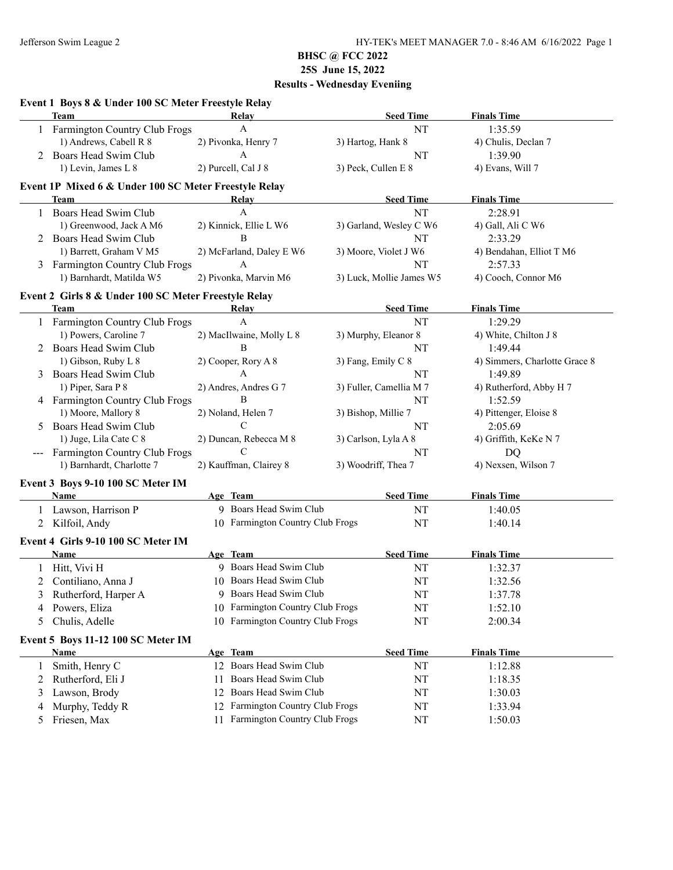|    | Event 1 Boys 8 & Under 100 SC Meter Freestyle Relay<br><b>Team</b> | Relay                               | <b>Seed Time</b>         | <b>Finals Time</b>            |
|----|--------------------------------------------------------------------|-------------------------------------|--------------------------|-------------------------------|
|    | 1 Farmington Country Club Frogs                                    | $\mathbf{A}$                        | NT                       | 1:35.59                       |
|    | 1) Andrews, Cabell R 8                                             | 2) Pivonka, Henry 7                 | 3) Hartog, Hank 8        | 4) Chulis, Declan 7           |
| 2  | Boars Head Swim Club                                               | A                                   | NT                       | 1:39.90                       |
|    | 1) Levin, James L 8                                                | 2) Purcell, Cal J 8                 | 3) Peck, Cullen E 8      | 4) Evans, Will 7              |
|    | Event 1P Mixed 6 & Under 100 SC Meter Freestyle Relay              |                                     |                          |                               |
|    | <b>Team</b>                                                        | Relay                               | <b>Seed Time</b>         | <b>Finals Time</b>            |
|    | Boars Head Swim Club                                               | A                                   | <b>NT</b>                | 2:28.91                       |
|    | 1) Greenwood, Jack A M6                                            | 2) Kinnick, Ellie L W6              | 3) Garland, Wesley C W6  | 4) Gall, Ali C W6             |
|    | Boars Head Swim Club                                               | B                                   | NT                       | 2:33.29                       |
|    | 1) Barrett, Graham V M5                                            | 2) McFarland, Daley E W6            | 3) Moore, Violet J W6    | 4) Bendahan, Elliot T M6      |
|    | Farmington Country Club Frogs                                      | A                                   | NT                       | 2:57.33                       |
|    | 1) Barnhardt, Matilda W5                                           | 2) Pivonka, Marvin M6               | 3) Luck, Mollie James W5 | 4) Cooch, Connor M6           |
|    | Event 2 Girls 8 & Under 100 SC Meter Freestyle Relay               |                                     |                          |                               |
|    | Team                                                               | Relay                               | <b>Seed Time</b>         | <b>Finals Time</b>            |
|    | 1 Farmington Country Club Frogs                                    | $\mathbf{A}$                        | NT                       | 1:29.29                       |
|    | 1) Powers, Caroline 7                                              | 2) MacIlwaine, Molly L 8            | 3) Murphy, Eleanor 8     | 4) White, Chilton J 8         |
|    | Boars Head Swim Club                                               | B                                   | NT                       | 1:49.44                       |
|    | 1) Gibson, Ruby L 8                                                | 2) Cooper, Rory A 8                 | 3) Fang, Emily C 8       | 4) Simmers, Charlotte Grace 8 |
|    | Boars Head Swim Club                                               | $\mathbf{A}$                        | NT                       | 1:49.89                       |
|    | 1) Piper, Sara P 8                                                 | 2) Andres, Andres G 7               | 3) Fuller, Camellia M 7  | 4) Rutherford, Abby H 7       |
|    | 4 Farmington Country Club Frogs                                    | B                                   | NT                       | 1:52.59                       |
|    | 1) Moore, Mallory 8                                                | 2) Noland, Helen 7                  | 3) Bishop, Millie 7      | 4) Pittenger, Eloise 8        |
| 5. | Boars Head Swim Club                                               | C                                   | NT                       | 2:05.69                       |
|    | 1) Juge, Lila Cate C 8                                             | 2) Duncan, Rebecca M 8              | 3) Carlson, Lyla A 8     | 4) Griffith, KeKe N 7         |
|    | Farmington Country Club Frogs                                      | C                                   | NT                       | DQ                            |
|    | 1) Barnhardt, Charlotte 7                                          | 2) Kauffman, Clairey 8              | 3) Woodriff, Thea 7      | 4) Nexsen, Wilson 7           |
|    | Event 3 Boys 9-10 100 SC Meter IM                                  |                                     |                          |                               |
|    | Name                                                               | Age Team                            | <b>Seed Time</b>         | <b>Finals Time</b>            |
|    | Lawson, Harrison P                                                 | 9 Boars Head Swim Club              | NT                       | 1:40.05                       |
| 2  | Kilfoil, Andy                                                      | 10 Farmington Country Club Frogs    | NT                       | 1:40.14                       |
|    | Event 4 Girls 9-10 100 SC Meter IM                                 |                                     |                          |                               |
|    | Name                                                               | Age Team                            | <b>Seed Time</b>         | <b>Finals Time</b>            |
|    | Hitt, Vivi H                                                       | 9 Boars Head Swim Club              | NT                       | 1:32.37                       |
|    |                                                                    | 10 Boars Head Swim Club             | NT                       | 1:32.56                       |
| 2  | Contiliano, Anna J                                                 |                                     |                          |                               |
| C  | Rutherford, Harper A                                               | 9 Boars Head Swim Club              | $\rm{NT}$                | 1:37.78                       |
| 4  | Powers, Eliza                                                      | 10 Farmington Country Club Frogs    | NT                       | 1:52.10                       |
| 5  | Chulis, Adelle                                                     | 10 Farmington Country Club Frogs    | NT                       | 2:00.34                       |
|    |                                                                    |                                     |                          |                               |
|    | Event 5 Boys 11-12 100 SC Meter IM<br><b>Name</b>                  | Age Team                            | <b>Seed Time</b>         | <b>Finals Time</b>            |
| 1  | Smith, Henry C                                                     | 12 Boars Head Swim Club             | NT                       | 1:12.88                       |
| 2  | Rutherford, Eli J                                                  | Boars Head Swim Club<br>11          | NT                       | 1:18.35                       |
| 3  |                                                                    | Boars Head Swim Club<br>12          | NT                       | 1:30.03                       |
| 4  | Lawson, Brody<br>Murphy, Teddy R                                   | Farmington Country Club Frogs<br>12 | NT                       | 1:33.94                       |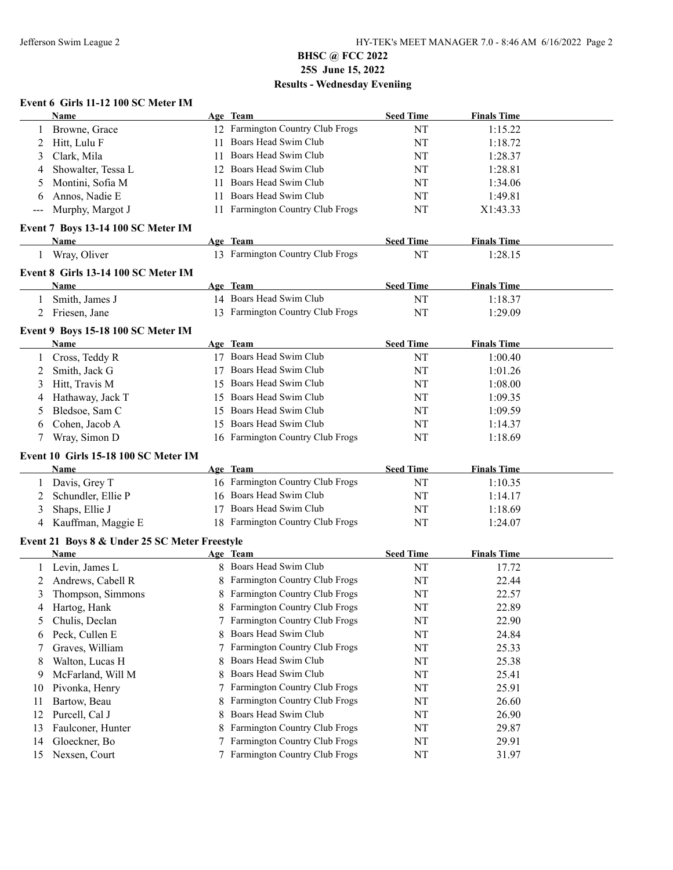### **Event 6 Girls 11-12 100 SC Meter IM**

|    | Name                                          |    | Age Team                         | <b>Seed Time</b> | <b>Finals Time</b> |  |
|----|-----------------------------------------------|----|----------------------------------|------------------|--------------------|--|
|    | Browne, Grace                                 |    | 12 Farmington Country Club Frogs | NT               | 1:15.22            |  |
| 2  | Hitt, Lulu F                                  | 11 | Boars Head Swim Club             | NT               | 1:18.72            |  |
| 3  | Clark, Mila                                   | 11 | Boars Head Swim Club             | NT               | 1:28.37            |  |
| 4  | Showalter, Tessa L                            | 12 | Boars Head Swim Club             | NT               | 1:28.81            |  |
| 5  | Montini, Sofia M                              | 11 | Boars Head Swim Club             | NT               | 1:34.06            |  |
| 6  | Annos, Nadie E                                | 11 | Boars Head Swim Club             | NT               | 1:49.81            |  |
|    | Murphy, Margot J                              |    | 11 Farmington Country Club Frogs | NT               | X1:43.33           |  |
|    | Event 7 Boys 13-14 100 SC Meter IM            |    |                                  |                  |                    |  |
|    | <b>Name</b>                                   |    | Age Team                         | <b>Seed Time</b> | <b>Finals Time</b> |  |
|    | 1 Wray, Oliver                                |    | 13 Farmington Country Club Frogs | NT               | 1:28.15            |  |
|    |                                               |    |                                  |                  |                    |  |
|    | Event 8 Girls 13-14 100 SC Meter IM           |    |                                  |                  |                    |  |
|    | Name                                          |    | Age Team                         | <b>Seed Time</b> | <b>Finals Time</b> |  |
| 1  | Smith, James J                                |    | 14 Boars Head Swim Club          | NT               | 1:18.37            |  |
| 2  | Friesen, Jane                                 |    | 13 Farmington Country Club Frogs | <b>NT</b>        | 1:29.09            |  |
|    | Event 9 Boys 15-18 100 SC Meter IM            |    |                                  |                  |                    |  |
|    | Name                                          |    | Age Team                         | <b>Seed Time</b> | <b>Finals Time</b> |  |
|    | Cross, Teddy R                                |    | 17 Boars Head Swim Club          | NT               | 1:00.40            |  |
| 2  | Smith, Jack G                                 |    | Boars Head Swim Club             | NT               | 1:01.26            |  |
| 3  | Hitt, Travis M                                |    | 15 Boars Head Swim Club          | NT               | 1:08.00            |  |
|    | Hathaway, Jack T                              |    | 15 Boars Head Swim Club          | NT               | 1:09.35            |  |
| 5  | Bledsoe, Sam C                                |    | 15 Boars Head Swim Club          | NT               | 1:09.59            |  |
| 6  | Cohen, Jacob A                                |    | 15 Boars Head Swim Club          | NT               | 1:14.37            |  |
| 7  | Wray, Simon D                                 |    | 16 Farmington Country Club Frogs | NT               | 1:18.69            |  |
|    | Event 10 Girls 15-18 100 SC Meter IM          |    |                                  |                  |                    |  |
|    | Name                                          |    | Age Team                         | <b>Seed Time</b> | <b>Finals Time</b> |  |
| 1  | Davis, Grey T                                 |    | 16 Farmington Country Club Frogs | NT               | 1:10.35            |  |
| 2  | Schundler, Ellie P                            |    | 16 Boars Head Swim Club          | NT               | 1:14.17            |  |
| 3  | Shaps, Ellie J                                |    | 17 Boars Head Swim Club          | NT               | 1:18.69            |  |
| 4  | Kauffman, Maggie E                            |    | 18 Farmington Country Club Frogs | NT               | 1:24.07            |  |
|    |                                               |    |                                  |                  |                    |  |
|    | Event 21 Boys 8 & Under 25 SC Meter Freestyle |    |                                  |                  |                    |  |
|    | <b>Name</b>                                   |    | Age Team                         | <b>Seed Time</b> | <b>Finals Time</b> |  |
|    | Levin, James L                                |    | 8 Boars Head Swim Club           | NT               | 17.72              |  |
| 2  | Andrews, Cabell R                             |    | 8 Farmington Country Club Frogs  | NT               | 22.44              |  |
| 3  | Thompson, Simmons                             |    | 8 Farmington Country Club Frogs  | NT               | 22.57              |  |
| 4  | Hartog, Hank                                  |    | 8 Farmington Country Club Frogs  | NT               | 22.89              |  |
| 5  | Chulis, Declan                                |    | Farmington Country Club Frogs    | NT               | 22.90              |  |
| 6  | Peck, Cullen E                                | 8  | Boars Head Swim Club             | NT               | 24.84              |  |
| 7  | Graves, William                               |    | Farmington Country Club Frogs    | NT               | 25.33              |  |
| 8  | Walton, Lucas H                               | 8  | Boars Head Swim Club             | NT               | 25.38              |  |
| 9  | McFarland, Will M                             | 8  | Boars Head Swim Club             | NT               | 25.41              |  |
| 10 | Pivonka, Henry                                |    | 7 Farmington Country Club Frogs  | NT               | 25.91              |  |
| 11 | Bartow, Beau                                  | 8  | Farmington Country Club Frogs    | NT               | 26.60              |  |
| 12 | Purcell, Cal J                                | 8  | Boars Head Swim Club             | NT               | 26.90              |  |
| 13 | Faulconer, Hunter                             | 8  | Farmington Country Club Frogs    | NT               | 29.87              |  |
| 14 | Gloeckner, Bo                                 | 7  | Farmington Country Club Frogs    | NT               | 29.91              |  |
| 15 | Nexsen, Court                                 |    | 7 Farmington Country Club Frogs  | NT               | 31.97              |  |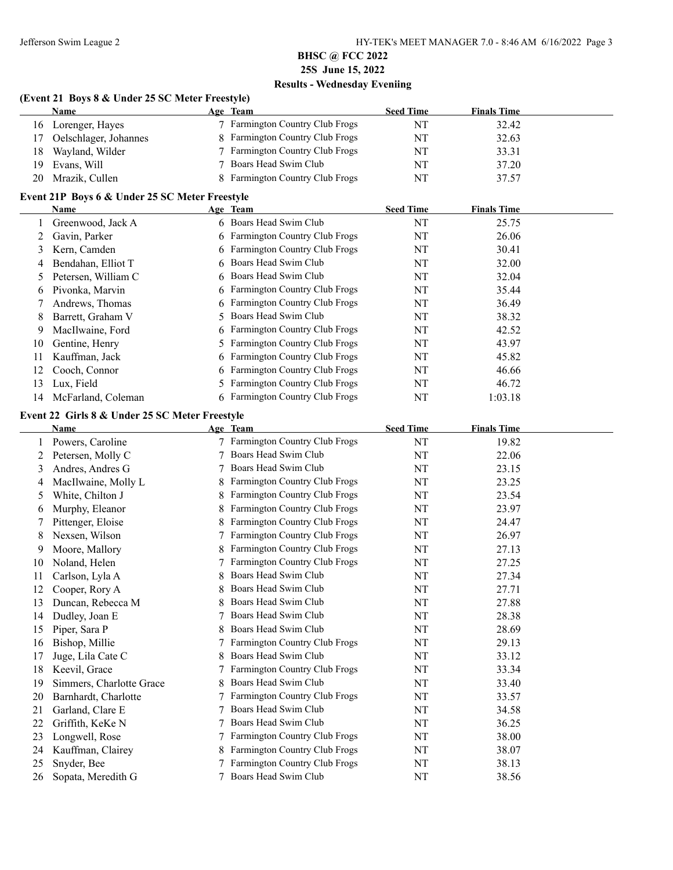### **(Event 21 Boys 8 & Under 25 SC Meter Freestyle)**

|     | <b>Name</b>           | Age Team                        | <b>Seed Time</b> | <b>Finals Time</b> |
|-----|-----------------------|---------------------------------|------------------|--------------------|
|     | 16 Lorenger, Hayes    | 7 Farmington Country Club Frogs | NT               | 32.42              |
| 17. | Oelschlager, Johannes | 8 Farmington Country Club Frogs | NT               | 32.63              |
| 18- | Wayland, Wilder       | 7 Farmington Country Club Frogs | NT               | 33.31              |
|     | 19 Evans, Will        | 7 Boars Head Swim Club          | NT               | 37.20              |
| 20  | Mrazik, Cullen        | 8 Farmington Country Club Frogs | NT               | 37.57              |

#### **Event 21P Boys 6 & Under 25 SC Meter Freestyle**

|    | Name                | Age Team                        | <b>Seed Time</b> | <b>Finals Time</b> |  |
|----|---------------------|---------------------------------|------------------|--------------------|--|
|    | Greenwood, Jack A   | 6 Boars Head Swim Club          | NT               | 25.75              |  |
|    | Gavin, Parker       | 6 Farmington Country Club Frogs | NT               | 26.06              |  |
| 3  | Kern, Camden        | 6 Farmington Country Club Frogs | NT               | 30.41              |  |
| 4  | Bendahan, Elliot T  | 6 Boars Head Swim Club          | NT               | 32.00              |  |
|    | Petersen, William C | 6 Boars Head Swim Club          | NT               | 32.04              |  |
| 6  | Pivonka, Marvin     | 6 Farmington Country Club Frogs | NT               | 35.44              |  |
|    | Andrews, Thomas     | 6 Farmington Country Club Frogs | NT               | 36.49              |  |
| 8  | Barrett, Graham V   | Boars Head Swim Club            | NT               | 38.32              |  |
| 9  | MacIlwaine, Ford    | 6 Farmington Country Club Frogs | NT               | 42.52              |  |
| 10 | Gentine, Henry      | 5 Farmington Country Club Frogs | NT               | 43.97              |  |
| 11 | Kauffman, Jack      | 6 Farmington Country Club Frogs | NT               | 45.82              |  |
| 12 | Cooch, Connor       | 6 Farmington Country Club Frogs | NT               | 46.66              |  |
| 13 | Lux, Field          | 5 Farmington Country Club Frogs | NT               | 46.72              |  |
| 14 | McFarland, Coleman  | 6 Farmington Country Club Frogs | NT               | 1:03.18            |  |

#### **Event 22 Girls 8 & Under 25 SC Meter Freestyle**

|    | <b>Name</b>              |   | Age Team                             | <b>Seed Time</b> | <b>Finals Time</b> |
|----|--------------------------|---|--------------------------------------|------------------|--------------------|
|    | Powers, Caroline         |   | Farmington Country Club Frogs        | NT               | 19.82              |
|    | Petersen, Molly C        |   | Boars Head Swim Club                 | NT               | 22.06              |
| 3  | Andres, Andres G         |   | Boars Head Swim Club                 | NT               | 23.15              |
| 4  | MacIlwaine, Molly L      |   | Farmington Country Club Frogs        | NT               | 23.25              |
| 5  | White, Chilton J         |   | <b>Farmington Country Club Frogs</b> | NT               | 23.54              |
| 6  | Murphy, Eleanor          |   | Farmington Country Club Frogs        | NT               | 23.97              |
|    | Pittenger, Eloise        |   | Farmington Country Club Frogs        | NT               | 24.47              |
| 8  | Nexsen, Wilson           |   | Farmington Country Club Frogs        | NT               | 26.97              |
| 9  | Moore, Mallory           |   | Farmington Country Club Frogs        | NT               | 27.13              |
| 10 | Noland, Helen            |   | Farmington Country Club Frogs        | NT               | 27.25              |
| 11 | Carlson, Lyla A          |   | Boars Head Swim Club                 | NT               | 27.34              |
| 12 | Cooper, Rory A           | 8 | Boars Head Swim Club                 | NT               | 27.71              |
| 13 | Duncan, Rebecca M        |   | Boars Head Swim Club                 | NT               | 27.88              |
| 14 | Dudley, Joan E           |   | Boars Head Swim Club                 | NT               | 28.38              |
| 15 | Piper, Sara P            |   | Boars Head Swim Club                 | NT               | 28.69              |
| 16 | Bishop, Millie           |   | Farmington Country Club Frogs        | NT               | 29.13              |
| 17 | Juge, Lila Cate C        | 8 | Boars Head Swim Club                 | NT               | 33.12              |
| 18 | Keevil, Grace            |   | <b>Farmington Country Club Frogs</b> | NT               | 33.34              |
| 19 | Simmers, Charlotte Grace | 8 | Boars Head Swim Club                 | NT               | 33.40              |
| 20 | Barnhardt, Charlotte     |   | <b>Farmington Country Club Frogs</b> | NT               | 33.57              |
| 21 | Garland, Clare E         |   | Boars Head Swim Club                 | NT               | 34.58              |
| 22 | Griffith, KeKe N         |   | Boars Head Swim Club                 | NT               | 36.25              |
| 23 | Longwell, Rose           |   | <b>Farmington Country Club Frogs</b> | NT               | 38.00              |
| 24 | Kauffman, Clairey        |   | Farmington Country Club Frogs        | NT               | 38.07              |
| 25 | Snyder, Bee              |   | Farmington Country Club Frogs        | NT               | 38.13              |
| 26 | Sopata, Meredith G       |   | Boars Head Swim Club                 | NT               | 38.56              |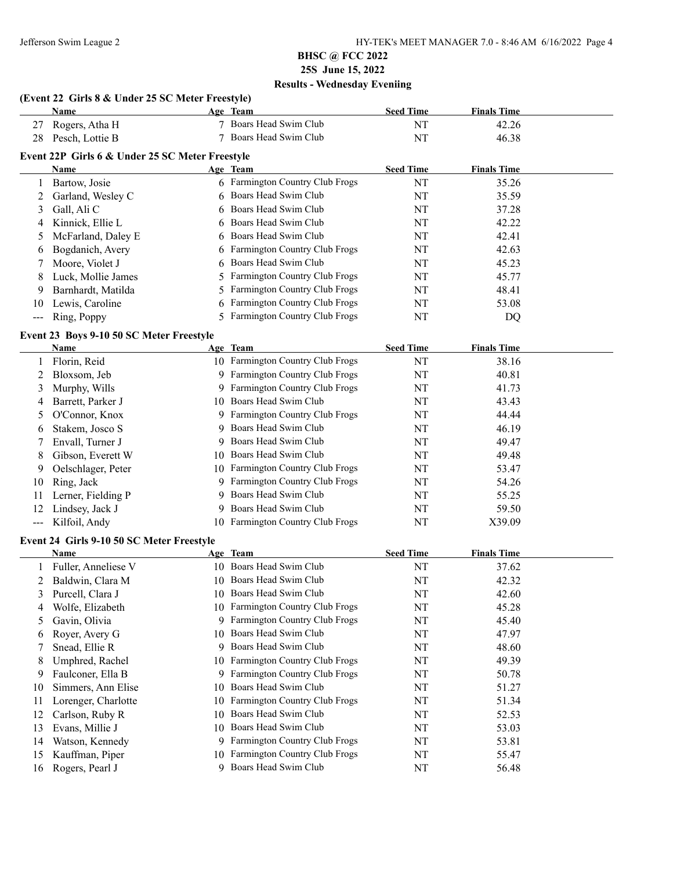# **(Event 22 Girls 8 & Under 25 SC Meter Freestyle)**

|               | Name                                            | Age Team                        | <b>Seed Time</b> | <b>Finals Time</b> |  |
|---------------|-------------------------------------------------|---------------------------------|------------------|--------------------|--|
| 27            | Rogers, Atha H                                  | Boars Head Swim Club            | NT               | 42.26              |  |
| 28            | Pesch, Lottie B                                 | Boars Head Swim Club            | NT               | 46.38              |  |
|               | Event 22P Girls 6 & Under 25 SC Meter Freestyle |                                 |                  |                    |  |
|               | Name                                            | Age Team                        | <b>Seed Time</b> | <b>Finals Time</b> |  |
|               | Bartow, Josie                                   | 6 Farmington Country Club Frogs | NT               | 35.26              |  |
|               | Garland, Wesley C                               | 6 Boars Head Swim Club          | NT               | 35.59              |  |
| 3             | Gall, Ali C                                     | 6 Boars Head Swim Club          | NT               | 37.28              |  |
| 4             | Kinnick, Ellie L                                | 6 Boars Head Swim Club          | NT               | 42.22              |  |
| 5.            | McFarland, Daley E                              | 6 Boars Head Swim Club          | NT               | 42.41              |  |
| 6             | Bogdanich, Avery                                | 6 Farmington Country Club Frogs | NT               | 42.63              |  |
|               | Moore, Violet J                                 | 6 Boars Head Swim Club          | NT               | 45.23              |  |
| 8             | Luck, Mollie James                              | 5 Farmington Country Club Frogs | NT               | 45.77              |  |
| 9             | Barnhardt, Matilda                              | 5 Farmington Country Club Frogs | NT               | 48.41              |  |
| 10            | Lewis, Caroline                                 | 6 Farmington Country Club Frogs | NT               | 53.08              |  |
| $\frac{1}{2}$ | Ring, Poppy                                     | 5 Farmington Country Club Frogs | NΤ               | DQ                 |  |

### **Event 23 Boys 9-10 50 SC Meter Freestyle**

|    | <b>Name</b>        |     | Age Team                             | <b>Seed Time</b> | <b>Finals Time</b> |
|----|--------------------|-----|--------------------------------------|------------------|--------------------|
|    | Florin, Reid       |     | 10 Farmington Country Club Frogs     | NT               | 38.16              |
|    | Bloxsom, Jeb       | 9   | Farmington Country Club Frogs        | NT               | 40.81              |
| 3  | Murphy, Wills      | 9.  | <b>Farmington Country Club Frogs</b> | NT               | 41.73              |
| 4  | Barrett, Parker J  | 10. | Boars Head Swim Club                 | NT               | 43.43              |
|    | O'Connor, Knox     |     | 9 Farmington Country Club Frogs      | NT               | 44.44              |
| 6  | Stakem, Josco S    | 9   | Boars Head Swim Club                 | NT               | 46.19              |
|    | Envall, Turner J   | 9.  | Boars Head Swim Club                 | NT               | 49.47              |
| 8  | Gibson, Everett W  | 10. | Boars Head Swim Club                 | NT               | 49.48              |
| 9  | Oelschlager, Peter | 10  | <b>Farmington Country Club Frogs</b> | NT               | 53.47              |
| 10 | Ring, Jack         | 9   | <b>Farmington Country Club Frogs</b> | NT               | 54.26              |
| 11 | Lerner, Fielding P |     | 9 Boars Head Swim Club               | NT               | 55.25              |
| 12 | Lindsey, Jack J    | 9.  | Boars Head Swim Club                 | NT               | 59.50              |
|    | Kilfoil, Andy      |     | 10 Farmington Country Club Frogs     | NT               | X39.09             |

#### **Event 24 Girls 9-10 50 SC Meter Freestyle**

|    | Name                |     | Age Team                             | <b>Seed Time</b> | <b>Finals Time</b> |
|----|---------------------|-----|--------------------------------------|------------------|--------------------|
|    | Fuller, Anneliese V | 10. | Boars Head Swim Club                 | NT               | 37.62              |
|    | Baldwin, Clara M    | 10  | Boars Head Swim Club                 | NT               | 42.32              |
| 3  | Purcell, Clara J    | 10  | Boars Head Swim Club                 | NT               | 42.60              |
| 4  | Wolfe, Elizabeth    | 10  | Farmington Country Club Frogs        | NT               | 45.28              |
| 5  | Gavin, Olivia       | 9   | <b>Farmington Country Club Frogs</b> | NT               | 45.40              |
| 6  | Royer, Avery G      | 10. | Boars Head Swim Club                 | NT               | 47.97              |
|    | Snead, Ellie R      | 9   | Boars Head Swim Club                 | NT               | 48.60              |
| 8  | Umphred, Rachel     | 10  | <b>Farmington Country Club Frogs</b> | NT               | 49.39              |
| 9  | Faulconer, Ella B   | 9   | <b>Farmington Country Club Frogs</b> | NT               | 50.78              |
| 10 | Simmers, Ann Elise  | 10  | Boars Head Swim Club                 | NT               | 51.27              |
| 11 | Lorenger, Charlotte | 10. | <b>Farmington Country Club Frogs</b> | NT               | 51.34              |
| 12 | Carlson, Ruby R     | 10  | Boars Head Swim Club                 | NT               | 52.53              |
| 13 | Evans, Millie J     | 10  | Boars Head Swim Club                 | NT               | 53.03              |
| 14 | Watson, Kennedy     | 9   | <b>Farmington Country Club Frogs</b> | NT               | 53.81              |
| 15 | Kauffman, Piper     | 10  | Farmington Country Club Frogs        | NT               | 55.47              |
| 16 | Rogers, Pearl J     |     | Boars Head Swim Club                 | NT               | 56.48              |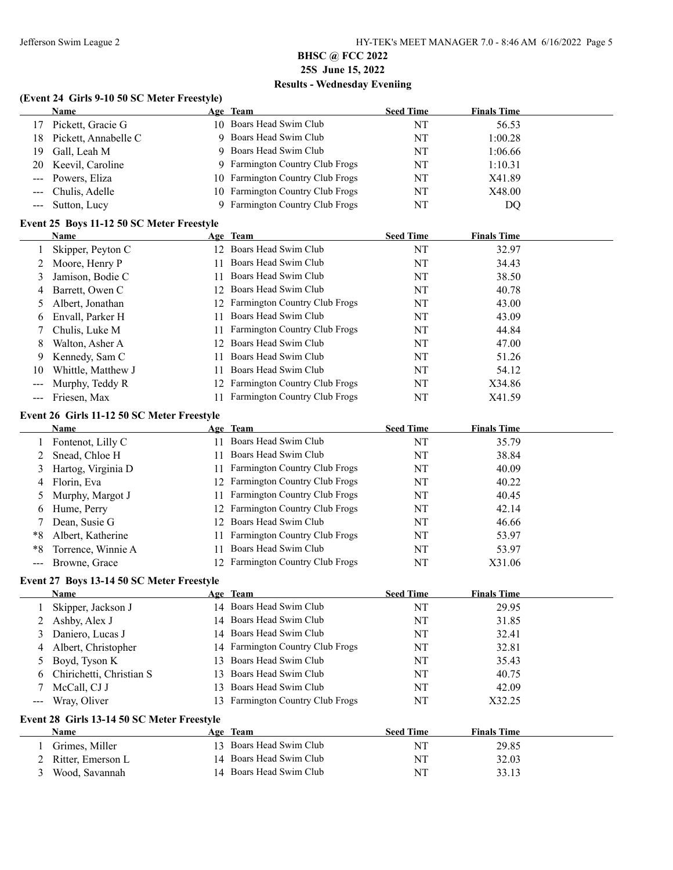#### **(Event 24 Girls 9-10 50 SC Meter Freestyle)**

|                     | (Event 24 Girls 9-10 50 SC Meter Freestyle) |    |                                  |                  |                    |  |
|---------------------|---------------------------------------------|----|----------------------------------|------------------|--------------------|--|
|                     | Name                                        |    | Age Team                         | <b>Seed Time</b> | <b>Finals Time</b> |  |
| 17                  | Pickett, Gracie G                           |    | 10 Boars Head Swim Club          | NT               | 56.53              |  |
| 18                  | Pickett, Annabelle C                        |    | 9 Boars Head Swim Club           | NT               | 1:00.28            |  |
| 19                  | Gall, Leah M                                | 9  | Boars Head Swim Club             | NT               | 1:06.66            |  |
| 20                  | Keevil, Caroline                            | 9. | Farmington Country Club Frogs    | NT               | 1:10.31            |  |
| $--$                | Powers, Eliza                               | 10 | Farmington Country Club Frogs    | NT               | X41.89             |  |
| $---$               | Chulis, Adelle                              |    | 10 Farmington Country Club Frogs | NT               | X48.00             |  |
| $\qquad \qquad - -$ | Sutton, Lucy                                | 9  | Farmington Country Club Frogs    | NT               | DQ                 |  |
|                     | Event 25 Boys 11-12 50 SC Meter Freestyle   |    |                                  |                  |                    |  |
|                     | Name                                        |    | Age Team                         | <b>Seed Time</b> | <b>Finals Time</b> |  |
| 1                   | Skipper, Peyton C                           |    | 12 Boars Head Swim Club          | NT               | 32.97              |  |
| 2                   | Moore, Henry P                              | 11 | Boars Head Swim Club             | NT               | 34.43              |  |
| 3                   | Jamison, Bodie C                            | 11 | Boars Head Swim Club             | NT               | 38.50              |  |
| 4                   | Barrett, Owen C                             |    | 12 Boars Head Swim Club          | NT               | 40.78              |  |
| 5                   | Albert, Jonathan                            |    | 12 Farmington Country Club Frogs | NT               | 43.00              |  |
| 6                   | Envall, Parker H                            | 11 | Boars Head Swim Club             | NT               | 43.09              |  |
| 7                   | Chulis, Luke M                              | 11 | Farmington Country Club Frogs    | NT               | 44.84              |  |
| 8                   | Walton, Asher A                             |    | 12 Boars Head Swim Club          | NT               | 47.00              |  |
| 9                   | Kennedy, Sam C                              | 11 | Boars Head Swim Club             | NT               | 51.26              |  |
| 10                  | Whittle, Matthew J                          |    | 11 Boars Head Swim Club          | NT               | 54.12              |  |
| $---$               | Murphy, Teddy R                             |    | 12 Farmington Country Club Frogs | NT               | X34.86             |  |
| $\qquad \qquad -$   | Friesen, Max                                |    | 11 Farmington Country Club Frogs | NT               | X41.59             |  |
|                     | Event 26 Girls 11-12 50 SC Meter Freestyle  |    |                                  |                  |                    |  |
|                     | <b>Name</b>                                 |    | Age Team                         | <b>Seed Time</b> | <b>Finals Time</b> |  |
| 1                   | Fontenot, Lilly C                           |    | 11 Boars Head Swim Club          | NT               | 35.79              |  |
| 2                   | Snead, Chloe H                              | 11 | Boars Head Swim Club             | NT               | 38.84              |  |
| 3                   | Hartog, Virginia D                          | 11 | Farmington Country Club Frogs    | NT               | 40.09              |  |
| 4                   | Florin, Eva                                 |    | 12 Farmington Country Club Frogs | NT               | 40.22              |  |
| 5                   | Murphy, Margot J                            | 11 | Farmington Country Club Frogs    | NT               | 40.45              |  |
| 6                   | Hume, Perry                                 |    | 12 Farmington Country Club Frogs | NT               | 42.14              |  |
| 7                   | Dean, Susie G                               |    | 12 Boars Head Swim Club          | NT               | 46.66              |  |
| $*8$                | Albert, Katherine                           | 11 | Farmington Country Club Frogs    | NT               | 53.97              |  |
| $*8$                | Torrence, Winnie A                          | 11 | Boars Head Swim Club             | NT               | 53.97              |  |
| $--$                | Browne, Grace                               |    | 12 Farmington Country Club Frogs | NT               | X31.06             |  |
|                     | Event 27 Boys 13-14 50 SC Meter Freestyle   |    |                                  |                  |                    |  |
|                     | Name                                        |    | Age Team                         | <b>Seed Time</b> | <b>Finals Time</b> |  |
| 1                   | Skipper, Jackson J                          |    | 14 Boars Head Swim Club          | NT               | 29.95              |  |
| 2                   | Ashby, Alex J                               | 14 | Boars Head Swim Club             | NT               | 31.85              |  |
| 3                   | Daniero, Lucas J                            | 14 | Boars Head Swim Club             | NT               | 32.41              |  |
| 4                   | Albert, Christopher                         | 14 | Farmington Country Club Frogs    | NT               | 32.81              |  |
| 5                   | Boyd, Tyson K                               | 13 | Boars Head Swim Club             | NT               | 35.43              |  |
| 6                   | Chirichetti, Christian S                    | 13 | Boars Head Swim Club             | NT               | 40.75              |  |
|                     | McCall, CJ J                                |    | 13 Boars Head Swim Club          | NT               | 42.09              |  |

### **Event 28 Girls 13-14 50 SC Meter Freestyle**

| <b>Name</b>         | Team<br>Age             | <b>Seed Time</b> | <b>Finals Time</b> |  |
|---------------------|-------------------------|------------------|--------------------|--|
| Grimes, Miller      | 13 Boars Head Swim Club | NΊ               | 29.85              |  |
| 2 Ritter, Emerson L | 14 Boars Head Swim Club | NT               | 32.03              |  |
| Wood, Savannah      | 14 Boars Head Swim Club | NT               | 33.13              |  |

--- Wray, Oliver 13 Farmington Country Club Frogs NT X32.25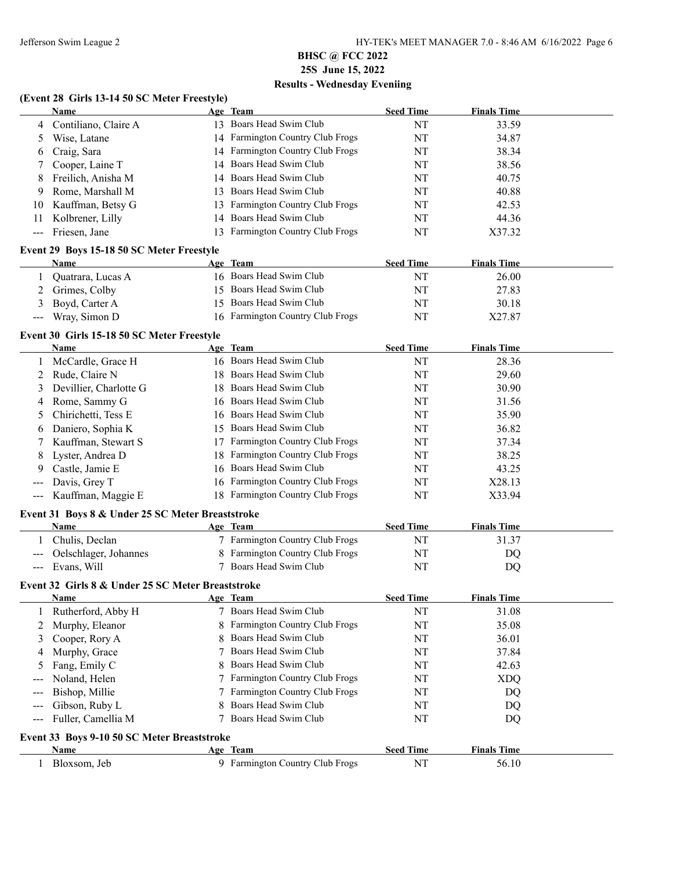### **(Event 28 Girls 13-14 50 SC Meter Freestyle)**

|     | Name                 | Age Team                             | <b>Seed Time</b> | <b>Finals Time</b> |
|-----|----------------------|--------------------------------------|------------------|--------------------|
| 4   | Contiliano, Claire A | 13 Boars Head Swim Club              | NT               | 33.59              |
|     | Wise, Latane         | 14 Farmington Country Club Frogs     | NT               | 34.87              |
| 6   | Craig, Sara          | 14 Farmington Country Club Frogs     | NT               | 38.34              |
|     | Cooper, Laine T      | 14 Boars Head Swim Club              | NT               | 38.56              |
| 8   | Freilich, Anisha M   | 14 Boars Head Swim Club              | NT               | 40.75              |
| -9  | Rome, Marshall M     | 13 Boars Head Swim Club              | NT               | 40.88              |
| 10  | Kauffman, Betsy G    | 13 Farmington Country Club Frogs     | NT               | 42.53              |
| 11. | Kolbrener, Lilly     | 14 Boars Head Swim Club              | NT               | 44.36              |
|     | Friesen, Jane        | <b>Farmington Country Club Frogs</b> | NT               | X37.32             |

#### **Event 29 Boys 15-18 50 SC Meter Freestyle**

|       | Name              | Age Team                         | <b>Seed Time</b> | <b>Finals Time</b> |
|-------|-------------------|----------------------------------|------------------|--------------------|
|       | Quatrara, Lucas A | 16 Boars Head Swim Club          | NT               | 26.00              |
|       | Grimes, Colby     | 15 Boars Head Swim Club          | NT               | 27.83              |
|       | 3 Boyd, Carter A  | 15 Boars Head Swim Club          | NT               | 30.18              |
| $---$ | Wray, Simon D     | 16 Farmington Country Club Frogs | NT               | X27.87             |

#### **Event 30 Girls 15-18 50 SC Meter Freestyle**

|   | <b>Name</b>            | Age Team                             | <b>Seed Time</b> | <b>Finals Time</b> |
|---|------------------------|--------------------------------------|------------------|--------------------|
|   | McCardle, Grace H      | 16 Boars Head Swim Club              | NT               | 28.36              |
|   | Rude, Claire N         | 18 Boars Head Swim Club              | NT               | 29.60              |
| 3 | Devillier, Charlotte G | 18 Boars Head Swim Club              | NT               | 30.90              |
| 4 | Rome, Sammy G          | 16 Boars Head Swim Club              | NT               | 31.56              |
|   | 5 Chirichetti, Tess E  | 16 Boars Head Swim Club              | NT               | 35.90              |
| 6 | Daniero, Sophia K      | 15 Boars Head Swim Club              | NT               | 36.82              |
|   | Kauffman, Stewart S    | <b>Farmington Country Club Frogs</b> | NT               | 37.34              |
| 8 | Lyster, Andrea D       | 18 Farmington Country Club Frogs     | NT               | 38.25              |
| 9 | Castle, Jamie E        | 16 Boars Head Swim Club              | NT               | 43.25              |
|   | Davis, Grey T          | 16 Farmington Country Club Frogs     | NT               | X28.13             |
|   | --- Kauffman, Maggie E | 18 Farmington Country Club Frogs     | NT               | X33.94             |

### **Event 31 Boys 8 & Under 25 SC Meter Breaststroke**

| Name                      | Age Team                        | <b>Seed Time</b> | <b>Finals Time</b> |
|---------------------------|---------------------------------|------------------|--------------------|
| Chulis. Declan            | 7 Farmington Country Club Frogs | N1               | 31.37              |
| --- Oelschlager, Johannes | 8 Farmington Country Club Frogs | NI               | DO                 |
| --- Evans, Will           | 7 Boars Head Swim Club          | NT               | DO                 |

### **Event 32 Girls 8 & Under 25 SC Meter Breaststroke**

|                                                                                                                                                                                                                                                                                                                                                                                                                                                                            | <b>Name</b>                                 |   | Age Team                             | <b>Seed Time</b> | <b>Finals Time</b> |  |
|----------------------------------------------------------------------------------------------------------------------------------------------------------------------------------------------------------------------------------------------------------------------------------------------------------------------------------------------------------------------------------------------------------------------------------------------------------------------------|---------------------------------------------|---|--------------------------------------|------------------|--------------------|--|
|                                                                                                                                                                                                                                                                                                                                                                                                                                                                            | 1 Rutherford, Abby H                        |   | Boars Head Swim Club                 | NT               | 31.08              |  |
|                                                                                                                                                                                                                                                                                                                                                                                                                                                                            | 2 Murphy, Eleanor                           |   | 8 Farmington Country Club Frogs      | NT               | 35.08              |  |
|                                                                                                                                                                                                                                                                                                                                                                                                                                                                            | 3 Cooper, Rory A                            |   | 8 Boars Head Swim Club               | NT               | 36.01              |  |
| 4                                                                                                                                                                                                                                                                                                                                                                                                                                                                          | Murphy, Grace                               |   | Boars Head Swim Club                 | NT               | 37.84              |  |
|                                                                                                                                                                                                                                                                                                                                                                                                                                                                            | Fang, Emily C                               |   | 8 Boars Head Swim Club               | NT               | 42.63              |  |
|                                                                                                                                                                                                                                                                                                                                                                                                                                                                            | Noland, Helen                               |   | 7 Farmington Country Club Frogs      | NT               | <b>XDQ</b>         |  |
|                                                                                                                                                                                                                                                                                                                                                                                                                                                                            | Bishop, Millie                              |   | 7 Farmington Country Club Frogs      | NT               | DQ                 |  |
|                                                                                                                                                                                                                                                                                                                                                                                                                                                                            | Gibson, Ruby L                              |   | 8 Boars Head Swim Club               | NT               | DQ                 |  |
| $\frac{1}{2} \left( \frac{1}{2} \right) \left( \frac{1}{2} \right) \left( \frac{1}{2} \right) \left( \frac{1}{2} \right) \left( \frac{1}{2} \right) \left( \frac{1}{2} \right) \left( \frac{1}{2} \right) \left( \frac{1}{2} \right) \left( \frac{1}{2} \right) \left( \frac{1}{2} \right) \left( \frac{1}{2} \right) \left( \frac{1}{2} \right) \left( \frac{1}{2} \right) \left( \frac{1}{2} \right) \left( \frac{1}{2} \right) \left( \frac{1}{2} \right) \left( \frac$ | Fuller, Camellia M                          |   | Boars Head Swim Club                 | NT               | DQ                 |  |
|                                                                                                                                                                                                                                                                                                                                                                                                                                                                            | Event 33 Boys 9-10 50 SC Meter Breaststroke |   |                                      |                  |                    |  |
|                                                                                                                                                                                                                                                                                                                                                                                                                                                                            | <b>Name</b>                                 |   | Age Team                             | <b>Seed Time</b> | <b>Finals Time</b> |  |
|                                                                                                                                                                                                                                                                                                                                                                                                                                                                            | Bloxsom, Jeb                                | 9 | <b>Farmington Country Club Frogs</b> | NT               | 56.10              |  |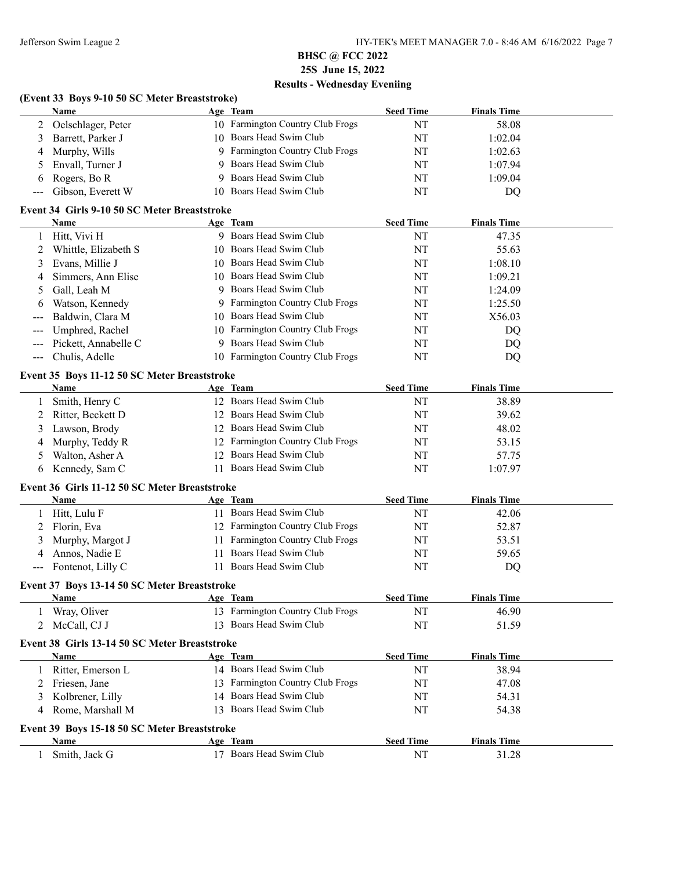### **(Event 33 Boys 9-10 50 SC Meter Breaststroke) Name Age Team Seed Time Finals Time**

| 2       | Oelschlager, Peter                            |    | 10 Farmington Country Club Frogs | NT               | 58.08              |  |
|---------|-----------------------------------------------|----|----------------------------------|------------------|--------------------|--|
| 3       | Barrett, Parker J                             |    | 10 Boars Head Swim Club          | NT               | 1:02.04            |  |
| 4       | Murphy, Wills                                 |    | 9 Farmington Country Club Frogs  | NT               | 1:02.63            |  |
| 5       | Envall, Turner J                              | 9  | Boars Head Swim Club             | NT               | 1:07.94            |  |
| 6       | Rogers, Bo R                                  | 9  | Boars Head Swim Club             | NT               | 1:09.04            |  |
|         | Gibson, Everett W                             |    | 10 Boars Head Swim Club          | NT               | DQ                 |  |
|         | Event 34 Girls 9-10 50 SC Meter Breaststroke  |    |                                  |                  |                    |  |
|         | Name                                          |    | Age Team                         | <b>Seed Time</b> | <b>Finals Time</b> |  |
| 1       | Hitt, Vivi H                                  |    | 9 Boars Head Swim Club           | NT               | 47.35              |  |
| 2       | Whittle, Elizabeth S                          | 10 | Boars Head Swim Club             | NT               | 55.63              |  |
| 3       | Evans, Millie J                               | 10 | Boars Head Swim Club             | NT               | 1:08.10            |  |
| 4       | Simmers, Ann Elise                            | 10 | Boars Head Swim Club             | NT               | 1:09.21            |  |
| 5       | Gall, Leah M                                  | 9  | Boars Head Swim Club             | NT               | 1:24.09            |  |
| 6       | Watson, Kennedy                               | 9  | Farmington Country Club Frogs    | NT               | 1:25.50            |  |
|         | Baldwin, Clara M                              | 10 | Boars Head Swim Club             | NT               | X56.03             |  |
|         | Umphred, Rachel                               | 10 | Farmington Country Club Frogs    | NT               | DQ                 |  |
|         | Pickett, Annabelle C                          | 9  | Boars Head Swim Club             | NT               | DQ                 |  |
|         | Chulis, Adelle                                |    | 10 Farmington Country Club Frogs | NT               | DQ                 |  |
|         | Event 35 Boys 11-12 50 SC Meter Breaststroke  |    |                                  |                  |                    |  |
|         | Name                                          |    | Age Team                         | <b>Seed Time</b> | <b>Finals Time</b> |  |
| 1       | Smith, Henry C                                |    | 12 Boars Head Swim Club          | NT               | 38.89              |  |
| 2       | Ritter, Beckett D                             |    | 12 Boars Head Swim Club          | NT               | 39.62              |  |
| 3       | Lawson, Brody                                 |    | 12 Boars Head Swim Club          | NT               | 48.02              |  |
| 4       | Murphy, Teddy R                               |    | 12 Farmington Country Club Frogs | NT               | 53.15              |  |
| 5       | Walton, Asher A                               |    | 12 Boars Head Swim Club          | NT               | 57.75              |  |
| 6       | Kennedy, Sam C                                |    | 11 Boars Head Swim Club          | NT               | 1:07.97            |  |
|         | Event 36 Girls 11-12 50 SC Meter Breaststroke |    |                                  |                  |                    |  |
|         | Name                                          |    | Age Team                         | <b>Seed Time</b> | <b>Finals Time</b> |  |
| 1       | Hitt, Lulu F                                  |    | 11 Boars Head Swim Club          | NT               | 42.06              |  |
| 2       | Florin, Eva                                   |    | 12 Farmington Country Club Frogs | NT               | 52.87              |  |
| 3       | Murphy, Margot J                              |    | 11 Farmington Country Club Frogs | NT               | 53.51              |  |
| 4       | Annos, Nadie E                                | 11 | Boars Head Swim Club             | NT               | 59.65              |  |
| $---$   | Fontenot, Lilly C                             |    | 11 Boars Head Swim Club          | NT               | DQ                 |  |
|         | Event 37 Boys 13-14 50 SC Meter Breaststroke  |    |                                  |                  |                    |  |
|         | Name                                          |    | Age Team                         | <b>Seed Time</b> | <b>Finals Time</b> |  |
| $\perp$ | Wray, Oliver                                  |    | 13 Farmington Country Club Frogs | NT               | 46.90              |  |
| 2       | McCall, CJ J                                  |    | 13 Boars Head Swim Club          | NT               | 51.59              |  |
|         | Event 38 Girls 13-14 50 SC Meter Breaststroke |    |                                  |                  |                    |  |
|         | Name                                          |    | Age Team                         | <b>Seed Time</b> | <b>Finals Time</b> |  |
|         | Ritter, Emerson L                             |    | 14 Boars Head Swim Club          | NT               | 38.94              |  |
|         | Friesen, Jane                                 |    | 13 Farmington Country Club Frogs | NT               | 47.08              |  |
| 3       | Kolbrener, Lilly                              |    | 14 Boars Head Swim Club          | NT               | 54.31              |  |
| 4       | Rome, Marshall M                              |    | 13 Boars Head Swim Club          | NT               | 54.38              |  |
|         | Event 39 Boys 15-18 50 SC Meter Breaststroke  |    |                                  |                  |                    |  |
|         | Name                                          |    | Age Team                         | <b>Seed Time</b> | <b>Finals Time</b> |  |
| 1       | Smith, Jack G                                 |    | 17 Boars Head Swim Club          | NT               | 31.28              |  |
|         |                                               |    |                                  |                  |                    |  |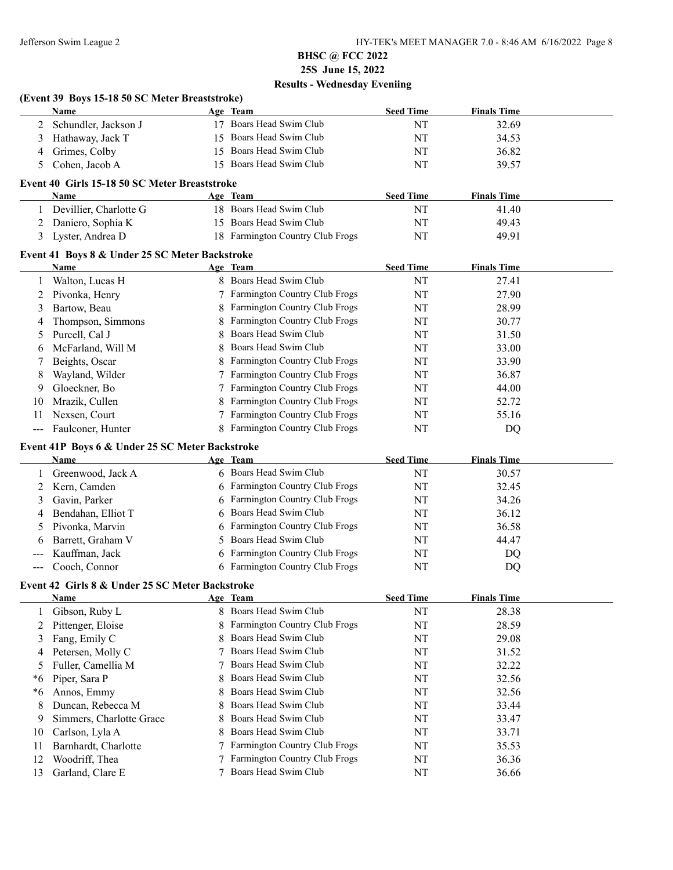$\overline{\phantom{a}}$ 

## **BHSC @ FCC 2022 25S June 15, 2022 Results - Wednesday Eveniing**

#### **(Event 39 Boys 15-18 50 SC Meter Breaststroke)**

| <b>Name</b>            |                                                                                                                                                                                                                                                                     | Age Team                | <b>Seed Time</b> | <b>Finals Time</b> |  |
|------------------------|---------------------------------------------------------------------------------------------------------------------------------------------------------------------------------------------------------------------------------------------------------------------|-------------------------|------------------|--------------------|--|
| 2 Schundler, Jackson J |                                                                                                                                                                                                                                                                     | 17 Boars Head Swim Club | NT               | 32.69              |  |
| 3 Hathaway, Jack T     |                                                                                                                                                                                                                                                                     | 15 Boars Head Swim Club | NT               | 34.53              |  |
| 4 Grimes, Colby        |                                                                                                                                                                                                                                                                     | 15 Boars Head Swim Club | <b>NT</b>        | 36.82              |  |
| 5 Cohen, Jacob A       |                                                                                                                                                                                                                                                                     | 15 Boars Head Swim Club | NT               | 39.57              |  |
| $\mathbf{r}$           | $\sim$ 10.000 $\sim$ 10.000 $\sim$ 0.000 $\sim$ 0.000 $\sim$ 10.000 $\sim$ 10.000 $\sim$ 10.000 $\sim$ 10.000 $\sim$ 10.000 $\sim$ 10.000 $\sim$ 10.000 $\sim$ 10.000 $\sim$ 10.000 $\sim$ 10.000 $\sim$ 10.000 $\sim$ 10.000 $\sim$ 10.000 $\sim$ 10.000 $\sim$ 10 |                         |                  |                    |  |

### **Event 40 Girls 15-18 50 SC Meter Breaststroke**

| <b>Name</b>            | <b>Age Team</b>                  | <b>Seed Time</b> | <b>Finals Time</b> |  |
|------------------------|----------------------------------|------------------|--------------------|--|
| Devillier, Charlotte G | 18 Boars Head Swim Club          | NΊ               | 41.40              |  |
| 2 Daniero, Sophia K    | 15 Boars Head Swim Club          | NT               | 49.43              |  |
| 3 Lyster, Andrea D     | 18 Farmington Country Club Frogs |                  | 49.91              |  |

### **Event 41 Boys 8 & Under 25 SC Meter Backstroke**

| Name              |                                      | <b>Seed Time</b>                                                                                                                                                                                                                                                                                                                            | <b>Finals Time</b> |
|-------------------|--------------------------------------|---------------------------------------------------------------------------------------------------------------------------------------------------------------------------------------------------------------------------------------------------------------------------------------------------------------------------------------------|--------------------|
| Walton, Lucas H   |                                      | NT                                                                                                                                                                                                                                                                                                                                          | 27.41              |
| Pivonka, Henry    |                                      | NT                                                                                                                                                                                                                                                                                                                                          | 27.90              |
| Bartow, Beau      |                                      | NT                                                                                                                                                                                                                                                                                                                                          | 28.99              |
| Thompson, Simmons |                                      | NT                                                                                                                                                                                                                                                                                                                                          | 30.77              |
| Purcell, Cal J    |                                      | NT                                                                                                                                                                                                                                                                                                                                          | 31.50              |
| McFarland, Will M |                                      | NT                                                                                                                                                                                                                                                                                                                                          | 33.00              |
| Beights, Oscar    |                                      | NT                                                                                                                                                                                                                                                                                                                                          | 33.90              |
| Wayland, Wilder   |                                      | NT                                                                                                                                                                                                                                                                                                                                          | 36.87              |
| Gloeckner, Bo     |                                      | NT                                                                                                                                                                                                                                                                                                                                          | 44.00              |
| Mrazik, Cullen    |                                      | NT                                                                                                                                                                                                                                                                                                                                          | 52.72              |
| Nexsen, Court     | <b>Farmington Country Club Frogs</b> | NT                                                                                                                                                                                                                                                                                                                                          | 55.16              |
| Faulconer, Hunter | <b>Farmington Country Club Frogs</b> | NT                                                                                                                                                                                                                                                                                                                                          | DQ                 |
|                   |                                      | Age Team<br>8 Boars Head Swim Club<br>7 Farmington Country Club Frogs<br>8 Farmington Country Club Frogs<br>8 Farmington Country Club Frogs<br>8 Boars Head Swim Club<br>8 Boars Head Swim Club<br>8 Farmington Country Club Frogs<br>7 Farmington Country Club Frogs<br>7 Farmington Country Club Frogs<br>8 Farmington Country Club Frogs |                    |

### **Event 41P Boys 6 & Under 25 SC Meter Backstroke**

|   | <b>Name</b>         | Age Team                        | <b>Seed Time</b> | <b>Finals Time</b> |
|---|---------------------|---------------------------------|------------------|--------------------|
|   | Greenwood, Jack A   | 6 Boars Head Swim Club          | NT               | 30.57              |
|   | 2 Kern, Camden      | 6 Farmington Country Club Frogs | NT               | 32.45              |
|   | Gavin, Parker       | 6 Farmington Country Club Frogs | NT               | 34.26              |
| 4 | Bendahan, Elliot T  | 6 Boars Head Swim Club          | NT               | 36.12              |
|   | 5 Pivonka, Marvin   | 6 Farmington Country Club Frogs | NT               | 36.58              |
|   | 6 Barrett, Graham V | 5 Boars Head Swim Club          | NT               | 44.47              |
|   | --- Kauffman, Jack  | 6 Farmington Country Club Frogs | NT               | DQ                 |
|   | --- Cooch, Connor   | 6 Farmington Country Club Frogs | NT               | DQ                 |

### **Event 42 Girls 8 & Under 25 SC Meter Backstroke**

|     | <b>Name</b>              | Age Team                        | <b>Seed Time</b> | <b>Finals Time</b> |  |
|-----|--------------------------|---------------------------------|------------------|--------------------|--|
|     | Gibson, Ruby L           | 8 Boars Head Swim Club          | NT               | 28.38              |  |
| 2   | Pittenger, Eloise        | 8 Farmington Country Club Frogs | NT               | 28.59              |  |
| 3   | Fang, Emily C            | 8 Boars Head Swim Club          | NT               | 29.08              |  |
| 4   | Petersen, Molly C        | 7 Boars Head Swim Club          | NT               | 31.52              |  |
|     | Fuller, Camellia M       | 7 Boars Head Swim Club          | NT               | 32.22              |  |
| *6  | Piper, Sara P            | 8 Boars Head Swim Club          | NT               | 32.56              |  |
| *6  | Annos, Emmy              | 8 Boars Head Swim Club          | NT               | 32.56              |  |
| 8   | Duncan, Rebecca M        | 8 Boars Head Swim Club          | NT               | 33.44              |  |
| 9   | Simmers, Charlotte Grace | 8 Boars Head Swim Club          | NT               | 33.47              |  |
| 10  | Carlson, Lyla A          | 8 Boars Head Swim Club          | NT               | 33.71              |  |
| 11  | Barnhardt, Charlotte     | 7 Farmington Country Club Frogs | NT               | 35.53              |  |
| 12  | Woodriff, Thea           | 7 Farmington Country Club Frogs | NT               | 36.36              |  |
| 13. | Garland, Clare E         | Boars Head Swim Club            | NT               | 36.66              |  |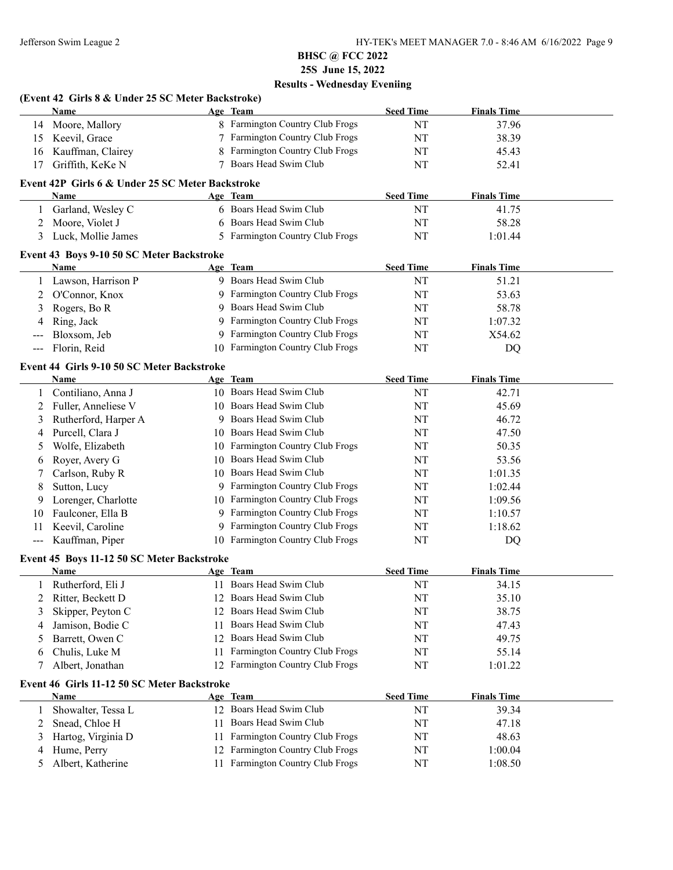|              | (Event 42 Girls 8 & Under 25 SC Meter Backstroke)         |     |                                  |                  |                    |  |
|--------------|-----------------------------------------------------------|-----|----------------------------------|------------------|--------------------|--|
|              | Name                                                      |     | Age Team                         | <b>Seed Time</b> | <b>Finals Time</b> |  |
| 14           | Moore, Mallory                                            |     | 8 Farmington Country Club Frogs  | NT               | 37.96              |  |
| 15           | Keevil, Grace                                             |     | 7 Farmington Country Club Frogs  | NT               | 38.39              |  |
| 16           | Kauffman, Clairey                                         | 8   | Farmington Country Club Frogs    | NT               | 45.43              |  |
| 17           | Griffith, KeKe N                                          |     | 7 Boars Head Swim Club           | NT               | 52.41              |  |
|              | Event 42P Girls 6 & Under 25 SC Meter Backstroke          |     |                                  |                  |                    |  |
|              | Name                                                      |     | Age Team                         | <b>Seed Time</b> | <b>Finals Time</b> |  |
| $\mathbf{1}$ | Garland, Wesley C                                         |     | 6 Boars Head Swim Club           | NT               | 41.75              |  |
| 2            | Moore, Violet J                                           | 6   | Boars Head Swim Club             | NT               | 58.28              |  |
| 3            | Luck, Mollie James                                        |     | 5 Farmington Country Club Frogs  | NT               | 1:01.44            |  |
|              | Event 43 Boys 9-10 50 SC Meter Backstroke                 |     |                                  |                  |                    |  |
|              | Name                                                      |     | Age Team                         | <b>Seed Time</b> | <b>Finals Time</b> |  |
|              | Lawson, Harrison P                                        |     | 9 Boars Head Swim Club           | NT               | 51.21              |  |
| 2            | O'Connor, Knox                                            |     | 9 Farmington Country Club Frogs  | NT               | 53.63              |  |
| 3            | Rogers, Bo R                                              | 9   | Boars Head Swim Club             | NT               | 58.78              |  |
| 4            | Ring, Jack                                                | 9   | Farmington Country Club Frogs    | NT               | 1:07.32            |  |
|              | Bloxsom, Jeb                                              | 9   | Farmington Country Club Frogs    | NT               | X54.62             |  |
| ---          | Florin, Reid                                              |     | 10 Farmington Country Club Frogs | NT               | DQ                 |  |
|              |                                                           |     |                                  |                  |                    |  |
|              | Event 44 Girls 9-10 50 SC Meter Backstroke<br><b>Name</b> |     | Age Team                         | <b>Seed Time</b> | <b>Finals Time</b> |  |
| $\mathbf{1}$ | Contiliano, Anna J                                        |     | 10 Boars Head Swim Club          | NT               | 42.71              |  |
| 2            | Fuller, Anneliese V                                       |     | 10 Boars Head Swim Club          | NT               | 45.69              |  |
| 3            | Rutherford, Harper A                                      |     | 9 Boars Head Swim Club           | NT               | 46.72              |  |
| 4            | Purcell, Clara J                                          |     | 10 Boars Head Swim Club          | NT               | 47.50              |  |
| 5            | Wolfe, Elizabeth                                          |     | 10 Farmington Country Club Frogs | NT               | 50.35              |  |
|              | Royer, Avery G                                            |     | 10 Boars Head Swim Club          | NT               | 53.56              |  |
| 6            | Carlson, Ruby R                                           |     | 10 Boars Head Swim Club          | NT               | 1:01.35            |  |
| 7            |                                                           |     | 9 Farmington Country Club Frogs  | NT               | 1:02.44            |  |
| 8            | Sutton, Lucy                                              |     | 10 Farmington Country Club Frogs |                  |                    |  |
| 9            | Lorenger, Charlotte                                       |     | 9 Farmington Country Club Frogs  | NT               | 1:09.56            |  |
| 10           | Faulconer, Ella B<br>Keevil, Caroline                     | 9   | Farmington Country Club Frogs    | NT               | 1:10.57            |  |
| 11           | Kauffman, Piper                                           |     | 10 Farmington Country Club Frogs | NT<br>NT         | 1:18.62            |  |
| ---          |                                                           |     |                                  |                  | DQ                 |  |
|              | Event 45 Boys 11-12 50 SC Meter Backstroke                |     |                                  |                  |                    |  |
|              | <b>Name</b>                                               |     | Age Team                         | <b>Seed Time</b> | <b>Finals Time</b> |  |
|              | 1 Rutherford, Eli J                                       |     | 11 Boars Head Swim Club          | $\rm{NT}$        | 34.15              |  |
| 2            | Ritter, Beckett D                                         |     | 12 Boars Head Swim Club          | NT               | 35.10              |  |
| 3            | Skipper, Peyton C                                         |     | 12 Boars Head Swim Club          | NT               | 38.75              |  |
| 4            | Jamison, Bodie C                                          | 11. | Boars Head Swim Club             | NT               | 47.43              |  |
| 5            | Barrett, Owen C                                           |     | 12 Boars Head Swim Club          | NT               | 49.75              |  |
| 6            | Chulis, Luke M                                            | 11  | Farmington Country Club Frogs    | NT               | 55.14              |  |
| 7            | Albert, Jonathan                                          |     | 12 Farmington Country Club Frogs | NT               | 1:01.22            |  |
|              | Event 46 Girls 11-12 50 SC Meter Backstroke<br>Name       |     | Age Team                         | <b>Seed Time</b> | <b>Finals Time</b> |  |
| 1            | Showalter, Tessa L                                        |     | 12 Boars Head Swim Club          | NT               | 39.34              |  |
| 2            | Snead, Chloe H                                            | 11  | Boars Head Swim Club             | NT               | 47.18              |  |
| 3            | Hartog, Virginia D                                        | 11  | Farmington Country Club Frogs    | NT               | 48.63              |  |
| 4            | Hume, Perry                                               |     | 12 Farmington Country Club Frogs | NT               | 1:00.04            |  |
| 5            | Albert, Katherine                                         | 11  | Farmington Country Club Frogs    | NT               | 1:08.50            |  |
|              |                                                           |     |                                  |                  |                    |  |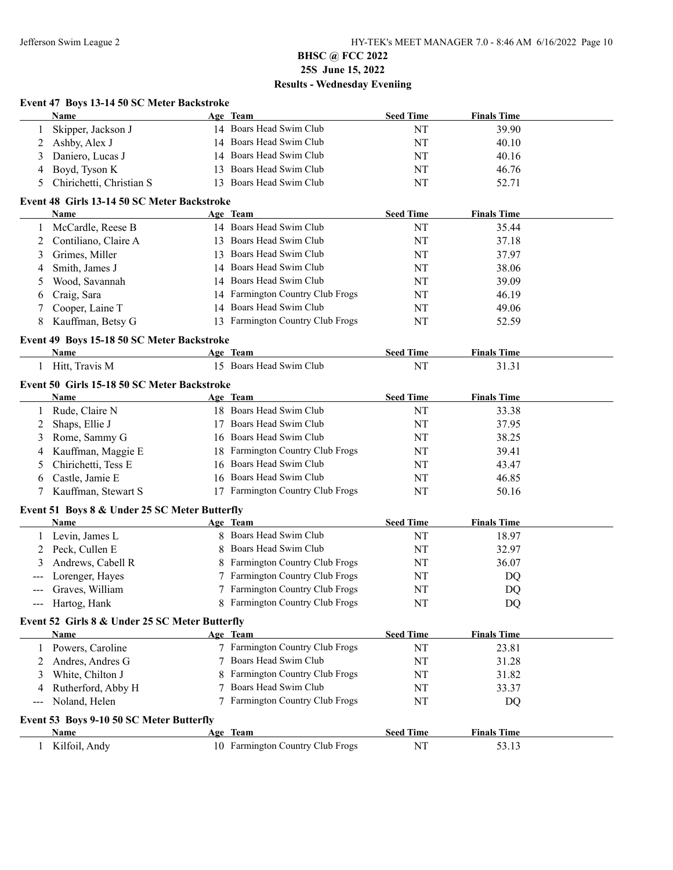### **Event 47 Boys 13-14 50 SC Meter Backstroke Name Age Team Seed Time Finals Time** 1 Skipper, Jackson J 14 Boars Head Swim Club NT 39.90 2 Ashby, Alex J 14 Boars Head Swim Club NT 40.10 3 Daniero, Lucas J 14 Boars Head Swim Club NT 40.16 4 Boyd, Tyson K 13 Boars Head Swim Club NT 46.76 5 Chirichetti, Christian S 13 Boars Head Swim Club NT 52.71 **Event 48 Girls 13-14 50 SC Meter Backstroke Name Age Team Seed Time Finals Time** 1 McCardle, Reese B 14 Boars Head Swim Club NT 35.44 2 Contiliano, Claire A 13 Boars Head Swim Club NT 37.18 3 Grimes, Miller 13 Boars Head Swim Club 13 NT 37.97 4 Smith, James J 14 Boars Head Swim Club NT 38.06 5 Wood, Savannah 14 Boars Head Swim Club NT 39.09 6 Craig, Sara 14 Farmington Country Club Frogs NT 46.19 7 Cooper, Laine T 14 Boars Head Swim Club NT 49.06 8 Kauffman, Betsy G 13 Farmington Country Club Frogs NT 52.59 **Event 49 Boys 15-18 50 SC Meter Backstroke Name Age Team Seed Time Finals Time** 1 Hitt, Travis M 15 Boars Head Swim Club NT 31.31 **Event 50 Girls 15-18 50 SC Meter Backstroke Name Age Team Seed Time Finals Time** 1 Rude, Claire N 18 Boars Head Swim Club NT 33.38 2 Shaps, Ellie J 17 Boars Head Swim Club NT 37.95 3 Rome, Sammy G 16 Boars Head Swim Club NT 38.25 4 Kauffman, Maggie E 18 Farmington Country Club Frogs NT 39.41 5 Chirichetti, Tess E 16 Boars Head Swim Club NT 43.47 6 Castle, Jamie E 16 Boars Head Swim Club NT 46.85 7 Kauffman, Stewart S 17 Farmington Country Club Frogs NT 50.16 **Event 51 Boys 8 & Under 25 SC Meter Butterfly Name Age Team Seed Time Finals Time** 1 Levin, James L 8 Boars Head Swim Club NT 18.97 2 Peck, Cullen E 8 Boars Head Swim Club NT 32.97 3 Andrews, Cabell R 8 Farmington Country Club Frogs NT 36.07 Lorenger, Hayes 7 Farmington Country Club Frogs NT NT DQ Graves, William 2 7 Farmington Country Club Frogs NT NT DQ --- Hartog, Hank 8 Farmington Country Club Frogs NT DO **Event 52 Girls 8 & Under 25 SC Meter Butterfly Name Age Team Seed Time Finals Time** 1 Powers, Caroline 7 Farmington Country Club Frogs NT 23.81 2 Andres, Andres G 7 Boars Head Swim Club NT 31.28 3 White, Chilton J 8 Farmington Country Club Frogs NT 31.82 4 Rutherford, Abby H 7 Boars Head Swim Club NT 33.37 Noland, Helen 2 Farmington Country Club Frogs NT NT DQ **Event 53 Boys 9-10 50 SC Meter Butterfly Name Age Team Seed Time Finals Time** 1 Kilfoil, Andy 10 Farmington Country Club Frogs NT 53.13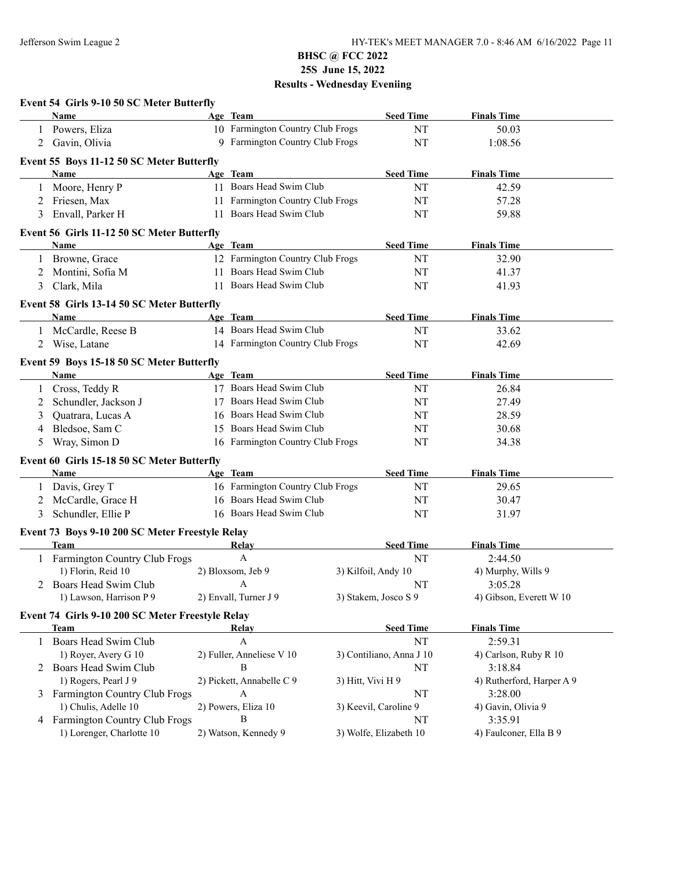|   | Event 54 Girls 9-10 50 SC Meter Butterfly        |    |                                  |                   |                          |                           |
|---|--------------------------------------------------|----|----------------------------------|-------------------|--------------------------|---------------------------|
|   | Name                                             |    | Age Team                         |                   | <b>Seed Time</b>         | <b>Finals Time</b>        |
|   | Powers, Eliza                                    |    | 10 Farmington Country Club Frogs |                   | NT                       | 50.03                     |
|   | 2 Gavin, Olivia                                  |    | 9 Farmington Country Club Frogs  |                   | NT                       | 1:08.56                   |
|   | Event 55 Boys 11-12 50 SC Meter Butterfly        |    |                                  |                   |                          |                           |
|   | Name                                             |    | Age Team                         |                   | <b>Seed Time</b>         | <b>Finals Time</b>        |
|   | 1 Moore, Henry P                                 |    | 11 Boars Head Swim Club          |                   | NT                       | 42.59                     |
| 2 | Friesen, Max                                     |    | 11 Farmington Country Club Frogs |                   | NT                       | 57.28                     |
| 3 | Envall, Parker H                                 |    | 11 Boars Head Swim Club          |                   | NT                       | 59.88                     |
|   | Event 56 Girls 11-12 50 SC Meter Butterfly       |    |                                  |                   |                          |                           |
|   | <b>Name</b>                                      |    | Age Team                         |                   | <b>Seed Time</b>         | <b>Finals Time</b>        |
|   | Browne, Grace                                    |    | 12 Farmington Country Club Frogs |                   | NT                       | 32.90                     |
| 2 | Montini, Sofia M                                 |    | 11 Boars Head Swim Club          |                   | NT                       | 41.37                     |
| 3 | Clark, Mila                                      | 11 | Boars Head Swim Club             |                   | NT                       | 41.93                     |
|   | Event 58 Girls 13-14 50 SC Meter Butterfly       |    |                                  |                   |                          |                           |
|   | Name                                             |    | Age Team                         |                   | <b>Seed Time</b>         | <b>Finals Time</b>        |
|   | 1 McCardle, Reese B                              |    | 14 Boars Head Swim Club          |                   | NT                       | 33.62                     |
| 2 | Wise, Latane                                     |    | 14 Farmington Country Club Frogs |                   | NT                       | 42.69                     |
|   | Event 59 Boys 15-18 50 SC Meter Butterfly        |    |                                  |                   |                          |                           |
|   | <b>Name</b>                                      |    | Age Team                         |                   | <b>Seed Time</b>         | <b>Finals Time</b>        |
|   | 1 Cross, Teddy R                                 |    | 17 Boars Head Swim Club          |                   | NT                       | 26.84                     |
| 2 | Schundler, Jackson J                             |    | 17 Boars Head Swim Club          |                   | NT                       | 27.49                     |
| 3 | Quatrara, Lucas A                                |    | 16 Boars Head Swim Club          |                   | NT                       | 28.59                     |
| 4 | Bledsoe, Sam C                                   |    | 15 Boars Head Swim Club          |                   | NT                       | 30.68                     |
| 5 | Wray, Simon D                                    |    | 16 Farmington Country Club Frogs |                   | NT                       | 34.38                     |
|   | Event 60 Girls 15-18 50 SC Meter Butterfly       |    |                                  |                   |                          |                           |
|   | Name                                             |    | Age Team                         |                   | <b>Seed Time</b>         | <b>Finals Time</b>        |
|   | 1 Davis, Grey T                                  |    | 16 Farmington Country Club Frogs |                   | NT                       | 29.65                     |
| 2 | McCardle, Grace H                                |    | 16 Boars Head Swim Club          |                   | NT                       | 30.47                     |
| 3 | Schundler, Ellie P                               |    | 16 Boars Head Swim Club          |                   | NT                       | 31.97                     |
|   | Event 73 Boys 9-10 200 SC Meter Freestyle Relay  |    |                                  |                   |                          |                           |
|   | <b>Team</b>                                      |    | Relay                            |                   | <b>Seed Time</b>         | <b>Finals Time</b>        |
|   | 1 Farmington Country Club Frogs                  |    | $\mathbf{A}$                     |                   | NT                       | 2:44.50                   |
|   | 1) Florin, Reid 10                               |    | 2) Bloxsom, Jeb 9                |                   | 3) Kilfoil, Andy 10      | 4) Murphy, Wills 9        |
|   | 2 Boars Head Swim Club                           |    | <b>A</b>                         |                   | NT                       | 3:05.28                   |
|   | 1) Lawson, Harrison P 9                          |    | 2) Envall, Turner J 9            |                   | 3) Stakem, Josco S 9     | 4) Gibson, Everett W 10   |
|   | Event 74 Girls 9-10 200 SC Meter Freestyle Relay |    |                                  |                   |                          |                           |
|   | <b>Team</b>                                      |    | <b>Relay</b>                     |                   | <b>Seed Time</b>         | <b>Finals Time</b>        |
|   | 1 Boars Head Swim Club                           |    | $\mathbf{A}$                     |                   | NT                       | 2:59.31                   |
|   | 1) Royer, Avery G 10                             |    | 2) Fuller, Anneliese V 10        |                   | 3) Contiliano, Anna J 10 | 4) Carlson, Ruby R 10     |
|   | 2 Boars Head Swim Club                           |    | B                                |                   | NT                       | 3:18.84                   |
|   | 1) Rogers, Pearl J 9                             |    | 2) Pickett, Annabelle C 9        | 3) Hitt, Vivi H 9 |                          | 4) Rutherford, Harper A 9 |
|   | 3 Farmington Country Club Frogs                  |    | A                                |                   | NT                       | 3:28.00                   |
|   | 1) Chulis, Adelle 10                             |    | 2) Powers, Eliza 10              |                   | 3) Keevil, Caroline 9    | 4) Gavin, Olivia 9        |
|   | 4 Farmington Country Club Frogs                  |    | B                                |                   | NT                       | 3:35.91                   |
|   | 1) Lorenger, Charlotte 10                        |    | 2) Watson, Kennedy 9             |                   | 3) Wolfe, Elizabeth 10   | 4) Faulconer, Ella B 9    |